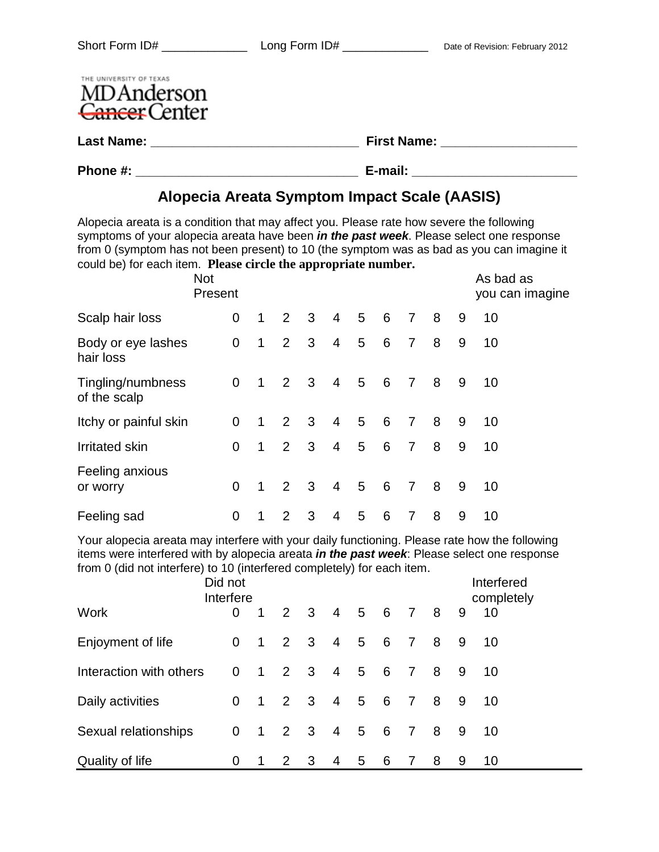| THE UNIVERSITY OF TEXAS<br>MDAnderson<br>Cancer Center |                    |
|--------------------------------------------------------|--------------------|
| <b>Last Name:</b>                                      | <b>First Name:</b> |
| Phone #:                                               | E-mail:            |

## **Alopecia Areata Symptom Impact Scale (AASIS)**

Alopecia areata is a condition that may affect you. Please rate how severe the following symptoms of your alopecia areata have been *in the past week*. Please select one response from 0 (symptom has not been present) to 10 (the symptom was as bad as you can imagine it could be) for each item. **Please circle the appropriate number.**

|                                   | <b>Not</b><br>Present |                |                |                     |                |   |                 |                |                 |   | As bad as<br>you can imagine |
|-----------------------------------|-----------------------|----------------|----------------|---------------------|----------------|---|-----------------|----------------|-----------------|---|------------------------------|
| Scalp hair loss                   | 0                     | $\mathbf 1$    | $2^{\circ}$    | 3 <sup>3</sup>      | $\overline{4}$ | 5 | $6\overline{6}$ | $\overline{7}$ | 8 <sup>8</sup>  | 9 | 10                           |
| Body or eye lashes<br>hair loss   | $\mathbf 0$           | 1              |                | $2 \quad 3$         | $\overline{4}$ | 5 | $6\overline{6}$ | 7 8            |                 | 9 | 10                           |
| Tingling/numbness<br>of the scalp | $\overline{0}$        | 1              |                | $2 \quad 3 \quad 4$ |                |   | $5\quad 6$      | 7 8            |                 | 9 | 10                           |
| Itchy or painful skin             | 0                     | $\overline{1}$ |                | $2 \quad 3$         | $\overline{4}$ |   | 5 6             | $\overline{7}$ | $8\overline{8}$ | 9 | 10                           |
| <b>Irritated skin</b>             | 0                     | $\mathbf 1$    |                | $2 \quad 3$         | $\overline{4}$ | 5 | $6\overline{6}$ | $\overline{7}$ | 8 <sup>8</sup>  | 9 | 10                           |
| Feeling anxious<br>or worry       | 0                     | $\mathbf{1}$   | $\overline{2}$ | 3 <sup>1</sup>      | $\overline{4}$ | 5 | $6\overline{6}$ | $\overline{7}$ | 8 <sup>8</sup>  | 9 | 10                           |
| Feeling sad                       | 0                     | $\mathbf{1}$   | $\overline{2}$ | 3                   | $\overline{4}$ | 5 | 6               | $\overline{7}$ | 8 <sup>8</sup>  | 9 | 10                           |

Your alopecia areata may interfere with your daily functioning. Please rate how the following items were interfered with by alopecia areata *in the past week*: Please select one response from 0 (did not interfere) to 10 (interfered completely) for each item.

|                         | Did not<br>Interfere |                |                                             |     |                |                |                 |                |   |     | Interfered<br>completely |  |
|-------------------------|----------------------|----------------|---------------------------------------------|-----|----------------|----------------|-----------------|----------------|---|-----|--------------------------|--|
| <b>Work</b>             | 0                    | $\mathbf 1$    |                                             |     |                | 2 3 4 5 6 7 8  |                 |                |   | 9   | 10                       |  |
| Enjoyment of life       | $\overline{0}$       |                | $\begin{array}{cccc} 1 & 2 & 3 \end{array}$ |     | $\overline{4}$ | 5              | $6\overline{6}$ | $\overline{7}$ | 8 | 9   | 10                       |  |
| Interaction with others | $\overline{0}$       |                | $1 \quad 2 \quad 3$                         |     | $\overline{4}$ | 5 6 7          |                 |                | 8 | 9   | 10                       |  |
| Daily activities        | 0                    |                | 1 2 3 4 5 6 7                               |     |                |                |                 |                | 8 | - 9 | 10                       |  |
| Sexual relationships    | $\mathbf 0$          | $\overline{1}$ | 2 3                                         |     | $\overline{4}$ | 5 <sup>5</sup> | 6               | $\overline{7}$ | 8 | 9   | 10                       |  |
| Quality of life         | 0                    | 1              | -2                                          | - 3 | 4              | 5 <sup>5</sup> | 6               | 7              | 8 | 9   | 10                       |  |